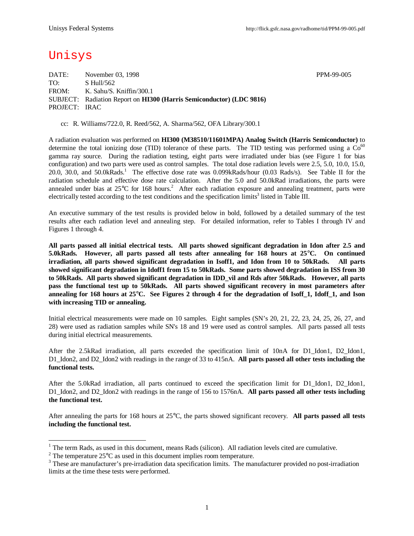## Unisys

DATE: November 03, 1998 PPM-99-005 TO: S Hull/562 FROM: K. Sahu/S. Kniffin/300.1 SUBJECT: Radiation Report on **HI300 (Harris Semiconductor) (LDC 9816)** PROJECT: IRAC

cc: R. Williams/722.0, R. Reed/562, A. Sharma/562, OFA Library/300.1

A radiation evaluation was performed on **HI300 (M38510/11601MPA) Analog Switch (Harris Semiconductor)** to determine the total ionizing dose (TID) tolerance of these parts. The TID testing was performed using a  $Co<sup>60</sup>$ gamma ray source. During the radiation testing, eight parts were irradiated under bias (see Figure 1 for bias configuration) and two parts were used as control samples. The total dose radiation levels were 2.5, 5.0, 10.0, 15.0, 20.0, 30.0, and 50.0kRads.<sup>1</sup> The effective dose rate was 0.099kRads/hour (0.03 Rads/s). See Table II for the radiation schedule and effective dose rate calculation. After the 5.0 and 50.0kRad irradiations, the parts were annealed under bias at 25°C for 168 hours.<sup>2</sup> After each radiation exposure and annealing treatment, parts were electrically tested according to the test conditions and the specification limits<sup>3</sup> listed in Table III.

An executive summary of the test results is provided below in bold, followed by a detailed summary of the test results after each radiation level and annealing step. For detailed information, refer to Tables I through IV and Figures 1 through 4.

**All parts passed all initial electrical tests. All parts showed significant degradation in Idon after 2.5 and 5.0kRads. However, all parts passed all tests after annealing for 168 hours at 25°C. On continued irradiation, all parts showed significant degradation in Isoff1, and Idon from 10 to 50kRads. All parts showed significant degradation in Idoff1 from 15 to 50kRads. Some parts showed degradation in ISS from 30 to 50kRads. All parts showed significant degradation in IDD\_vil and Rds after 50kRads. However, all parts pass the functional test up to 50kRads. All parts showed significant recovery in most parameters after annealing for 168 hours at 25°C. See Figures 2 through 4 for the degradation of Isoff\_1, Idoff\_1, and Ison with increasing TID or annealing.**

Initial electrical measurements were made on 10 samples. Eight samples (SN's 20, 21, 22, 23, 24, 25, 26, 27, and 28) were used as radiation samples while SN's 18 and 19 were used as control samples. All parts passed all tests during initial electrical measurements.

After the 2.5kRad irradiation, all parts exceeded the specification limit of 10nA for D1 Idon1, D2 Idon1, D1\_Idon2, and D2\_Idon2 with readings in the range of 33 to 415nA. **All parts passed all other tests including the functional tests.**

After the 5.0kRad irradiation, all parts continued to exceed the specification limit for D1\_Idon1, D2\_Idon1, D1\_Idon2, and D2\_Idon2 with readings in the range of 156 to 1576nA. **All parts passed all other tests including the functional test.**

After annealing the parts for 168 hours at 25°C, the parts showed significant recovery. **All parts passed all tests including the functional test.**

<sup>&</sup>lt;sup>1</sup> The term Rads, as used in this document, means Rads (silicon). All radiation levels cited are cumulative.

<sup>&</sup>lt;sup>2</sup> The temperature  $25^{\circ}$ C as used in this document implies room temperature.

 $3$  These are manufacturer's pre-irradiation data specification limits. The manufacturer provided no post-irradiation limits at the time these tests were performed.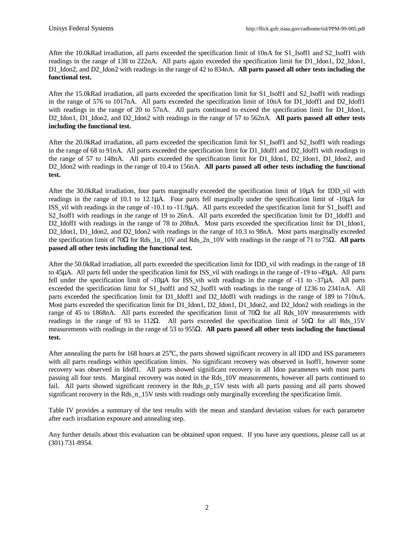After the 10.0kRad irradiation, all parts exceeded the specification limit of 10nA for S1\_Isoff1 and S2\_Isoff1 with readings in the range of 138 to 222nA. All parts again exceeded the specification limit for D1\_Idon1, D2\_Idon1, D1\_Idon2, and D2\_Idon2 with readings in the range of 42 to 834nA. **All parts passed all other tests including the functional test.**

After the 15.0kRad irradiation, all parts exceeded the specification limit for S1\_Isoff1 and S2\_Isoff1 with readings in the range of 576 to 1017nA. All parts exceeded the specification limit of 10nA for D1\_Idoff1 and D2\_Idoff1 with readings in the range of 20 to 57nA. All parts continued to exceed the specification limit for D1 Idon1, D2\_Idon1, D1\_Idon2, and D2\_Idon2 with readings in the range of 57 to 562nA. **All parts passed all other tests including the functional test.**

After the 20.0kRad irradiation, all parts exceeded the specification limit for S1\_Isoff1 and S2\_Isoff1 with readings in the range of 68 to 91nA. All parts exceeded the specification limit for D1\_Idoff1 and D2\_Idoff1 with readings in the range of 57 to 148nA. All parts exceeded the specification limit for D1\_Idon1, D2\_Idon1, D1\_Idon2, and D2\_Idon2 with readings in the range of 10.4 to 156nA. **All parts passed all other tests including the functional test.**

After the 30.0kRad irradiation, four parts marginally exceeded the specification limit of 10μA for IDD vil with readings in the range of 10.1 to 12.1μA. Four parts fell marginally under the specification limit of -10μA for ISS\_vil with readings in the range of -10.1 to -11.9μA. All parts exceeded the specification limit for S1\_Isoff1 and S2\_Isoff1 with readings in the range of 19 to 26nA. All parts exceeded the specification limit for D1\_Idoff1 and D2\_Idoff1 with readings in the range of 78 to 208nA. Most parts exceeded the specification limit for D1\_Idon1, D2\_Idon1, D1\_Idon2, and D2\_Idon2 with readings in the range of 10.3 to 98nA. Most parts marginally exceeded the specification limit of 70Ω for Rds\_1n\_10V and Rds\_2n\_10V with readings in the range of 71 to 75Ω. **All parts passed all other tests including the functional test.**

After the 50.0kRad irradiation, all parts exceeded the specification limit for IDD vil with readings in the range of 18 to 45μA. All parts fell under the specification limit for ISS\_vil with readings in the range of -19 to -49μA. All parts fell under the specification limit of  $-10\mu A$  for ISS vih with readings in the range of  $-11$  to  $-37\mu A$ . All parts exceeded the specification limit for S1\_Isoff1 and S2\_Isoff1 with readings in the range of 1236 to 2341nA. All parts exceeded the specification limit for D1\_Idoff1 and D2\_Idoff1 with readings in the range of 189 to 710nA. Most parts exceeded the specification limit for D1\_Idon1, D2\_Idon1, D1\_Idon2, and D2\_Idon2 with readings in the range of 45 to 1868nA. All parts exceeded the specification limit of  $70\Omega$  for all Rds 10V measurements with readings in the range of 93 to 112Ω. All parts exceeded the specification limit of 50Ω for all Rds 15V measurements with readings in the range of 53 to 955Ω. **All parts passed all other tests including the functional test.**

After annealing the parts for 168 hours at 25°C, the parts showed significant recovery in all IDD and ISS parameters with all parts readings within specification limits. No significant recovery was observed in Isoff1, however some recovery was observed in Idoff1. All parts showed significant recovery in all Idon parameters with most parts passing all four tests. Marginal recovery was noted in the Rds\_10V measurements, however all parts continued to fail. All parts showed significant recovery in the Rds\_p\_15V tests with all parts passing and all parts showed significant recovery in the Rds\_n\_15V tests with readings only marginally exceeding the specification limit.

Table IV provides a summary of the test results with the mean and standard deviation values for each parameter after each irradiation exposure and annealing step.

Any further details about this evaluation can be obtained upon request. If you have any questions, please call us at (301) 731-8954.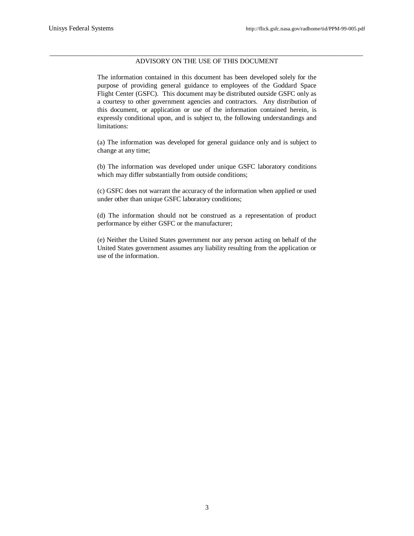## \_\_\_\_\_\_\_\_\_\_\_\_\_\_\_\_\_\_\_\_\_\_\_\_\_\_\_\_\_\_\_\_\_\_\_\_\_\_\_\_\_\_\_\_\_\_\_\_\_\_\_\_\_\_\_\_\_\_\_\_\_\_\_\_\_\_\_\_\_\_\_\_\_\_\_\_\_\_\_\_\_\_\_\_\_\_\_\_\_\_\_\_ ADVISORY ON THE USE OF THIS DOCUMENT

The information contained in this document has been developed solely for the purpose of providing general guidance to employees of the Goddard Space Flight Center (GSFC). This document may be distributed outside GSFC only as a courtesy to other government agencies and contractors. Any distribution of this document, or application or use of the information contained herein, is expressly conditional upon, and is subject to, the following understandings and limitations:

(a) The information was developed for general guidance only and is subject to change at any time;

(b) The information was developed under unique GSFC laboratory conditions which may differ substantially from outside conditions;

(c) GSFC does not warrant the accuracy of the information when applied or used under other than unique GSFC laboratory conditions;

(d) The information should not be construed as a representation of product performance by either GSFC or the manufacturer;

(e) Neither the United States government nor any person acting on behalf of the United States government assumes any liability resulting from the application or use of the information.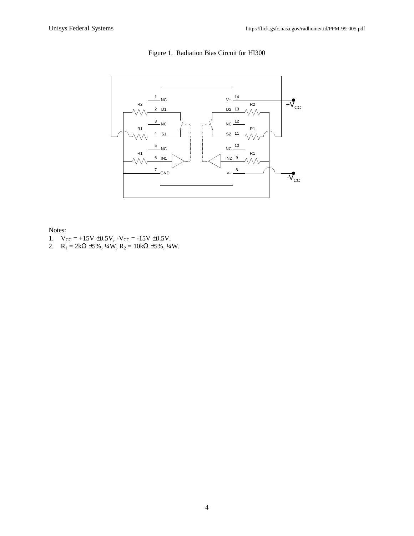

Figure 1. Radiation Bias Circuit for HI300

Notes:

- 1.  $V_{CC} = +15V \pm 0.5V$ ,  $-V_{CC} = -15V \pm 0.5V$ .
- 2. R<sub>1</sub> = 2k $\Omega$  ±5%,  $\frac{1}{4}W$ , R<sub>2</sub> = 10k $\Omega$  ±5%,  $\frac{1}{4}W$ .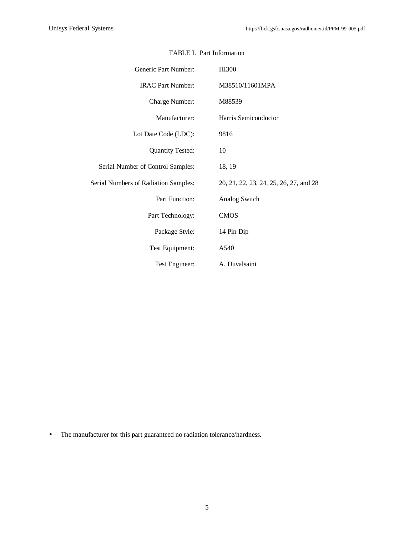| Generic Part Number:                 | <b>HI300</b>                           |  |  |  |  |  |  |
|--------------------------------------|----------------------------------------|--|--|--|--|--|--|
| <b>IRAC Part Number:</b>             | M38510/11601MPA                        |  |  |  |  |  |  |
| Charge Number:                       | M88539                                 |  |  |  |  |  |  |
| Manufacturer:                        | Harris Semiconductor                   |  |  |  |  |  |  |
| Lot Date Code (LDC):                 | 9816                                   |  |  |  |  |  |  |
| <b>Quantity Tested:</b>              | 10                                     |  |  |  |  |  |  |
| Serial Number of Control Samples:    | 18, 19                                 |  |  |  |  |  |  |
| Serial Numbers of Radiation Samples: | 20, 21, 22, 23, 24, 25, 26, 27, and 28 |  |  |  |  |  |  |
| Part Function:                       | Analog Switch                          |  |  |  |  |  |  |
| Part Technology:                     | <b>CMOS</b>                            |  |  |  |  |  |  |
| Package Style:                       | 14 Pin Dip                             |  |  |  |  |  |  |
| Test Equipment:                      | A540                                   |  |  |  |  |  |  |
| Test Engineer:                       | A. Duvalsaint                          |  |  |  |  |  |  |

## TABLE I. Part Information

• The manufacturer for this part guaranteed no radiation tolerance/hardness.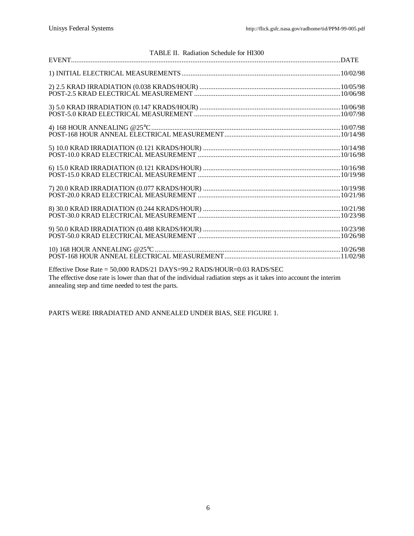| TABLE II. Radiation Schedule for HI300                                                                                                                                                                                                                                                                                                                               |  |
|----------------------------------------------------------------------------------------------------------------------------------------------------------------------------------------------------------------------------------------------------------------------------------------------------------------------------------------------------------------------|--|
|                                                                                                                                                                                                                                                                                                                                                                      |  |
|                                                                                                                                                                                                                                                                                                                                                                      |  |
|                                                                                                                                                                                                                                                                                                                                                                      |  |
|                                                                                                                                                                                                                                                                                                                                                                      |  |
|                                                                                                                                                                                                                                                                                                                                                                      |  |
|                                                                                                                                                                                                                                                                                                                                                                      |  |
|                                                                                                                                                                                                                                                                                                                                                                      |  |
|                                                                                                                                                                                                                                                                                                                                                                      |  |
|                                                                                                                                                                                                                                                                                                                                                                      |  |
|                                                                                                                                                                                                                                                                                                                                                                      |  |
|                                                                                                                                                                                                                                                                                                                                                                      |  |
| Effective Dose Rate = 50,000 RADS/21 DAYS=99.2 RADS/HOUR=0.03 RADS/SEC<br>$\tau$ , and $\tau$ , the set of $\tau$ , $\tau$ , $\tau$ , $\tau$ , $\tau$ , $\tau$ , $\tau$ , $\tau$ , $\tau$ , $\tau$ , $\tau$ , $\tau$ , $\tau$ , $\tau$ , $\tau$ , $\tau$ , $\tau$ , $\tau$ , $\tau$ , $\tau$ , $\tau$ , $\tau$ , $\tau$ , $\tau$ , $\tau$ , $\tau$ , $\tau$ , $\tau$ |  |

The effective dose rate is lower than that of the individual radiation steps as it takes into account the interim annealing step and time needed to test the parts.

PARTS WERE IRRADIATED AND ANNEALED UNDER BIAS, SEE FIGURE 1.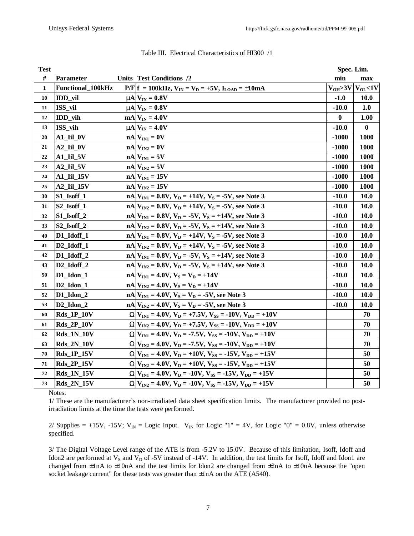| <b>Test</b>  |                                  |                                                                      | Spec. Lim.   |                             |
|--------------|----------------------------------|----------------------------------------------------------------------|--------------|-----------------------------|
| $\#$         | Parameter                        | <b>Units Test Conditions /2</b>                                      | min          | max                         |
| $\mathbf{1}$ | Functional_100kHz                | $P/F f = 100kHz, V_{IN} = V_D = +5V, I_{LOAD} = \pm 10mA$            |              | $V_{OH} > 3V$ $V_{OL} < 1V$ |
| 10           | IDD_vil                          | $mN$ $V_{IN} = 0.8V$                                                 | $-1.0$       | 10.0                        |
| 11           | ISS_vil                          | $mN_{IN} = 0.8V$                                                     | $-10.0$      | 1.0                         |
| 12           | IDD_vih                          | $mA$ <sub>IN</sub> = 4.0V                                            | $\mathbf{0}$ | 1.00                        |
| 13           | ISS_vih                          | $mN_{IN} = 4.0V$                                                     | $-10.0$      | $\bf{0}$                    |
| 20           | $A1$ _Iil_0V                     | $nA$ $V_{IN1} = 0V$                                                  | $-1000$      | <b>1000</b>                 |
| 21           | $A2$ _Iil_0V                     | $nA$ $V_{IN2} = 0V$                                                  | $-1000$      | 1000                        |
| 22           | $A1$ _Iil_5V                     | $nA$ $V_{IN1} = 5V$                                                  | $-1000$      | 1000                        |
| 23           | $A2$ _Iil_5V                     | $nA$ $V_{IN2} = 5V$                                                  | $-1000$      | <b>1000</b>                 |
| 24           | $A1$ _Iil_15V                    | $nA$ $V_{IN1}$ = 15V                                                 | $-1000$      | 1000                        |
| 25           | A2_Iil_15V                       | $nA$ $V_{IN2} = 15V$                                                 | $-1000$      | <b>1000</b>                 |
| 30           | $S1$ _Isoff_1                    | $nA V_{N1} = 0.8V, V_D = +14V, V_S = -5V$ , see Note 3               | $-10.0$      | <b>10.0</b>                 |
| 31           | $S2$ _Isoff_1                    | $nA V_{N2} = 0.8V, V_D = +14V, V_S = -5V$ , see Note 3               | $-10.0$      | 10.0                        |
| 32           | $S1$ Isoff $2$                   | $nA V_{IN1} = 0.8V, V_D = -5V, V_S = +14V,$ see Note 3               | $-10.0$      | <b>10.0</b>                 |
| 33           | $S2$ _Isoff_2                    | $nA V_{IN2} = 0.8V, V_D = -5V, V_S = +14V,$ see Note 3               | $-10.0$      | 10.0                        |
| 40           | D1_Idoff_1                       | $nA V_{N1} = 0.8V$ , $V_D = +14V$ , $V_S = -5V$ , see Note 3         | $-10.0$      | <b>10.0</b>                 |
| 41           | D <sub>2_Idoff_1</sub>           | $nA V_{N2} = 0.8V, V_D = +14V, V_S = -5V$ , see Note 3               | $-10.0$      | 10.0                        |
| 42           | D1_Idoff_2                       | $nA V_{N1} = 0.8V, V_D = -5V, V_S = +14V,$ see Note 3                | $-10.0$      | 10.0                        |
| 43           | D <sub>2_Idoff_2</sub>           | $nA V_{N2} = 0.8V, V_D = -5V, V_S = +14V,$ see Note 3                | $-10.0$      | <b>10.0</b>                 |
| 50           | D1_Idon_1                        | $nA$ $V_{IN1} = 4.0V$ , $V_S = V_D = +14V$                           | $-10.0$      | 10.0                        |
| 51           | $D2$ _Idon_1                     | $nA$ $V_{IN2} = 4.0V$ , $V_S = V_D = +14V$                           | $-10.0$      | 10.0                        |
| 52           | $D1$ _Idon_2                     | $nA V_{IN1} = 4.0V, V_S = V_D = -5V$ , see Note 3                    | $-10.0$      | <b>10.0</b>                 |
| 53           | D <sub>2</sub> Idon <sub>2</sub> | $nA V_{IN2} = 4.0V, V_S = V_D = -5V$ , see Note 3                    | $-10.0$      | 10.0                        |
| 60           | <b>Rds_1P_10V</b>                | $WV_{N1} = 4.0V, V_D = +7.5V, V_{SS} = -10V, V_{DD} = +10V$          |              | 70                          |
| 61           | <b>Rds_2P_10V</b>                | $WV_{N2} = 4.0V, V_D = +7.5V, V_{SS} = -10V, V_{DD} = +10V$          |              | 70                          |
| 62           | <b>Rds_1N_10V</b>                | $WV_{N1} = 4.0V, V_D = -7.5V, V_{SS} = -10V, V_{DD} = +10V$          |              | 70                          |
| 63           | <b>Rds_2N_10V</b>                | $W V_{IN2} = 4.0V, V_D = -7.5V, V_{SS} = -10V, V_{DD} = +10V$        |              | 70                          |
| 70           | <b>Rds_1P_15V</b>                | $W V_{N1} = 4.0V, V_D = +10V, V_{SS} = -15V, V_{DD} = +15V$          |              | 50                          |
| 71           | <b>Rds_2P_15V</b>                | $W V_{IN2} = 4.0V, V_D = +10V, V_{SS} = -15V, V_{DD} = +15V$         |              | 50                          |
| 72           | <b>Rds_1N_15V</b>                | $WV_{N1} = 4.0V, V_D = -10V, V_{SS} = -15V, V_{DD} = +15V$           |              | 50                          |
| 73           | <b>Rds_2N_15V</b>                | $WV_{IN2} = 4.0V$ , $V_D = -10V$ , $V_{SS} = -15V$ , $V_{DD} = +15V$ |              | 50                          |

Notes:

1/ These are the manufacturer's non-irradiated data sheet specification limits. The manufacturer provided no postirradiation limits at the time the tests were performed.

2/ Supplies = +15V, -15V;  $V_{IN}$  = Logic Input.  $V_{IN}$  for Logic "1" = 4V, for Logic "0" = 0.8V, unless otherwise specified.

3/ The Digital Voltage Level range of the ATE is from -5.2V to 15.0V. Because of this limitation, Isoff, Idoff and Idon2 are performed at  $V_S$  and  $V_D$  of -5V instead of -14V. In addition, the test limits for Isoff, Idoff and Idon1 are changed from  $\pm 1$ nA to  $\pm 10$ nA and the test limits for Idon2 are changed from  $\pm 2n$ A to  $\pm 10n$ A because the "open socket leakage current" for these tests was greater than  $\pm 1$ nA on the ATE (A540).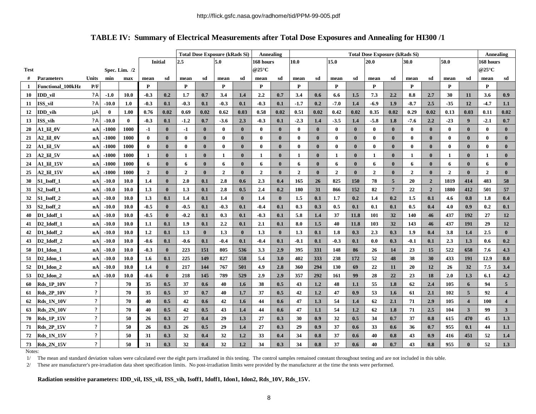## **TABLE IV: Summary of Electrical Measurements after Total Dose Exposures and Annealing for HI300 /1**

|             |                                   |                           |          |               |                  |              | <b>Total Dose Exposure (kRads Si)</b><br>Annealing |              |                  |              |                          |              | <b>Total Dose Exposure (kRads Si)</b> |              |                |              |                |                 |                |                |                |                  | Annealing      |                         |
|-------------|-----------------------------------|---------------------------|----------|---------------|------------------|--------------|----------------------------------------------------|--------------|------------------|--------------|--------------------------|--------------|---------------------------------------|--------------|----------------|--------------|----------------|-----------------|----------------|----------------|----------------|------------------|----------------|-------------------------|
|             |                                   |                           |          |               | <b>Initial</b>   |              | 2.5                                                |              | 5.0<br>168 hours |              |                          | 15.0<br>10.0 |                                       |              |                | 20.0<br>30.0 |                |                 | 50.0           |                | 168 hours      |                  |                |                         |
| <b>Test</b> |                                   |                           |          | Spec. Lim. /2 |                  |              |                                                    |              |                  |              | @25 $\mathrm{^{\circ}C}$ |              |                                       |              |                |              |                |                 |                |                |                |                  | @25°C          |                         |
| #           | <b>Parameters</b>                 | <b>Units</b>              | min      | max           | mean             | sd           | mean                                               | sd           | mean             | sd           | mean                     | sd           | mean                                  | sd           | mean           | sd           | mean           | sd              | mean           | sd             | mean           | sd               | mean           | sd                      |
| 1           | <b>Functional 100kHz</b>          | P/F                       |          |               | ${\bf P}$        |              | P                                                  |              | P                |              | P                        |              | P                                     |              | P              |              | P              |                 | P              |                | P              |                  | P              |                         |
| 10          | IDD_vil                           | ?A                        | $-1.0$   | 10.0          | $-0.3$           | 0.2          | 1.7                                                | 0.7          | 3.4              | 1.4          | 2.2                      | 0.7          | 3.4                                   | 0.6          | 6.6            | 1.5          | 7.3            | 2.2             | 8.8            | 2.7            | 30             | 11               | 3.6            | 0.9                     |
| 11          | ISS vil                           | ?A                        | $-10.0$  | 1.0           | $-0.3$           | 0.1          | $-0.3$                                             | 0.1          | $-0.3$           | 0.1          | $-0.3$                   | 0.1          | $-1.7$                                | 0.2          | $-7.0$         | 1.4          | $-6.9$         | 1.9             | $-8.7$         | 2.5            | $-35$          | 12               | $-4.7$         | 1.1                     |
| 12          | IDD_vih                           | mA                        | $\bf{0}$ | 1.00          | 0.76             | 0.02         | 0.69                                               | 0.02         | 0.62             | 0.03         | 0.58                     | 0.02         | 0.51                                  | 0.02         | 0.42           | 0.02         | 0.35           | 0.02            | 0.29           | 0.02           | 0.13           | 0.03             | 0.11           | 0.02                    |
| 13          | ISS vih                           | ?A                        | $-10.0$  | $\bf{0}$      | $-0.3$           | 0.1          | $-1.2$                                             | 0.7          | $-3.6$           | 2.3          | $-0.3$                   | 0.1          | $-2.3$                                | 1.4          | $-3.5$         | 1.4          | $-5.8$         | 1.8             | $-7.6$         | 2.2            | $-23$          | $\boldsymbol{9}$ | $-2.1$         | 0.7                     |
| 20          | A1 Iil OV                         | nA                        | $-1000$  | 1000          | $-1$             | $\bf{0}$     | $-1$                                               | $\mathbf{0}$ | $\bf{0}$         | $\bf{0}$     | $\bf{0}$                 | $\mathbf{0}$ | $\bf{0}$                              | $\bf{0}$     | $\bf{0}$       | $\mathbf{0}$ | $\bf{0}$       | $\bf{0}$        | $\bf{0}$       | $\bf{0}$       | $\bf{0}$       | $\bf{0}$         | $\bf{0}$       | $\bf{0}$                |
| 21          | A2_Iil_0V                         | nA                        | $-1000$  | 1000          | $\bf{0}$         | $\bf{0}$     | $\bf{0}$                                           | $\mathbf{0}$ | $\bf{0}$         | $\bf{0}$     | $\bf{0}$                 | $\mathbf{0}$ | $\bf{0}$                              | $\bf{0}$     | $\bf{0}$       | $\bf{0}$     | $\bf{0}$       | $\bf{0}$        | $\bf{0}$       | $\bf{0}$       | $\bf{0}$       | $\bf{0}$         | $\bf{0}$       | $\bf{0}$                |
| 22          | A1 Iil 5V                         | nA                        | $-1000$  | 1000          | $\bf{0}$         | $\mathbf{0}$ | $\bf{0}$                                           | $\mathbf{0}$ | $\bf{0}$         | $\mathbf{0}$ | $\bf{0}$                 | $\bf{0}$     | $\mathbf{0}$                          | $\bf{0}$     | $\mathbf{0}$   | $\mathbf{0}$ | $\bf{0}$       | $\bf{0}$        | $\bf{0}$       | $\mathbf{0}$   | $\bf{0}$       | $\mathbf{0}$     | $\bf{0}$       | $\bf{0}$                |
| 23          | A2_Iil_5V                         | nA                        | $-1000$  | 1000          | $\mathbf{1}$     | $\mathbf{0}$ | 1                                                  | $\mathbf{0}$ | $\mathbf{1}$     | $\mathbf{0}$ | 1                        | $\bf{0}$     | 1                                     | $\mathbf{0}$ | 1              | $\bf{0}$     | 1              | $\bf{0}$        | 1              | $\bf{0}$       | 1              | $\bf{0}$         | 1              | $\bf{0}$                |
| 24          | A1 Iil 15V                        | nA                        | $-1000$  | 1000          | 6                | $\mathbf{0}$ | 6                                                  | $\bf{0}$     | 6                | $\mathbf{0}$ | 6                        | $\mathbf{0}$ | 6                                     | $\bf{0}$     | 6              | $\mathbf{0}$ | 6              | $\mathbf{0}$    | 6              | $\bf{0}$       | 6              | $\bf{0}$         | 6              | $\mathbf{0}$            |
| 25          | A2_Iil_15V                        | nA                        | $-1000$  | 1000          | $\overline{2}$   | $\mathbf{0}$ | $\overline{2}$                                     | $\bf{0}$     | $\overline{2}$   | $\mathbf{0}$ | $\overline{2}$           | $\bf{0}$     | $\overline{2}$                        | $\bf{0}$     | $\overline{2}$ | $\mathbf{0}$ | $\overline{2}$ | $\mathbf{0}$    | $\overline{2}$ | $\bf{0}$       | $\overline{2}$ | $\bf{0}$         | $\overline{2}$ | $\bf{0}$                |
| 30          | S1_Isoff_1                        | nA                        | $-10.0$  | 10.0          | 1.4              | $\mathbf{0}$ | 2.0                                                | 0.1          | 2.8              | 0.6          | 2.3                      | 0.4          | 165                                   | 26           | 825            | 150          | 78             | 5 <sup>5</sup>  | 20             | $\overline{2}$ | 1819           | 414              | 483            | 58                      |
| 31          | S <sub>2</sub> Isoff 1            | nA                        | $-10.0$  | 10.0          | 1.3              | $\mathbf{0}$ | 1.3                                                | 0.1          | 2.8              | 0.5          | 2.4                      | 0.2          | 180                                   | 31           | 866            | 152          | 82             | $7\overline{ }$ | 22             | $\overline{2}$ | 1880           | 412              | 501            | 57                      |
| 32          | S1 Isoff 2                        | nA                        | $-10.0$  | 10.0          | 1.3              | 0.1          | 1.4                                                | 0.1          | 1.4              | $\mathbf{0}$ | 1.4                      | $\mathbf{0}$ | 1.5                                   | 0.1          | 1.7            | 0.2          | 1.4            | 0.2             | 1.5            | 0.1            | 4.6            | 0.8              | 1.8            | 0.4                     |
| 33          | S2_Isoff_2                        | nA                        | $-10.0$  | 10.0          | $-0.5$           | $\mathbf{0}$ | $-0.5$                                             | 0.1          | $-0.3$           | 0.1          | $-0.4$                   | 0.1          | 0.3                                   | 0.3          | 0.5            | 0.1          | 0.1            | 0.1             | 0.5            | 0.4            | 4.0            | 0.9              | 0.2            | 0.1                     |
| 40          | D1 Idoff 1                        | nA                        | $-10.0$  | 10.0          | $-0.5$           | $\bf{0}$     | $-0.2$                                             | 0.1          | 0.3              | 0.1          | $-0.3$                   | 0.1          | 5.8                                   | 1.4          | 37             | 11.8         | 101            | 32              | 140            | 46             | 437            | 192              | 27             | 12                      |
| 41          | D <sub>2</sub> Idoff 1            | nA                        | $-10.0$  | 10.0          | 1.1              | 0.1          | 1.9                                                | 0.1          | 2.2              | 0.1          | 2.1                      | 0.1          | 8.0                                   | 1.5          | 40             | 11.8         | 103            | 32              | 143            | 46             | 437            | 191              | 29             | 12                      |
| 42          | D1 Idoff 2                        | nA                        | $-10.0$  | 10.0          | 1.2              | 0.1          | 1.3                                                | $\bf{0}$     | 1.3              | $\mathbf{0}$ | 1.3                      | $\mathbf{0}$ | 1.3                                   | 0.1          | 1.8            | 0.3          | 2.3            | 0.3             | 1.9            | 0.4            | 3.8            | 1.4              | 2.5            | $\mathbf{0}$            |
| 43          | D <sub>2</sub> Idoff <sub>2</sub> | nA                        | $-10.0$  | 10.0          | $-0.6$           | 0.1          | $-0.6$                                             | 0.1          | $-0.4$           | 0.1          | $-0.4$                   | 0.1          | $-0.1$                                | 0.1          | $-0.3$         | 0.1          | 0.0            | 0.3             | $-0.1$         | 0.1            | 2.3            | 1.3              | 0.6            | 0.2                     |
| 50          | D1_Idon_1                         | nA                        | $-10.0$  | 10.0          | $-0.3$           | $\bf{0}$     | 223                                                | 151          | 805              | 536          | 3.3                      | 2.9          | 395                                   | 331          | 148            | 86           | 26             | 14              | 23             | 15             | 522            | 658              | 7.6            | 4.3                     |
| 51          | D <sub>2</sub> Idon 1             | nAl                       | $-10.0$  | 10.0          | $1.6\phantom{0}$ | 0.1          | 225                                                | 149          | 827              | 558          | 5.4                      | 3.0          | 402                                   | 333          | 238            | 172          | 52             | 48              | 38             | 30             | 433            | 191              | 12.9           | 8.0                     |
| 52          | D1 Idon 2                         | nA                        | $-10.0$  | 10.0          | 1.4              | $\mathbf{0}$ | 217                                                | 144          | 767              | 501          | 4.9                      | 2.8          | 360                                   | 294          | <b>130</b>     | 69           | 22             | 11              | 20             | 12             | 26             | 32               | 7.5            | 3.4                     |
| 53          | D <sub>2</sub> _Idon_2            | nA                        | $-10.0$  | 10.0          | $-0.6$           | $\mathbf{0}$ | 218                                                | 145          | 789              | 529          | 2.9                      | 2.9          | 357                                   | 292          | 161            | 99           | 28             | 22              | 23             | 18             | 2.0            | 1.3              | 6.1            | 4.2                     |
| 60          | <b>Rds 1P 10V</b>                 | $\mathbf{?}$              |          | 70            | 35               | 0.5          | 37                                                 | 0.6          | 40               | 1.6          | 38                       | 0.5          | 43                                    | 1.2          | 48             | 1.1          | 55             | 1.8             | 62             | 2.4            | 105            | 6                | 94             | 5 <sup>5</sup>          |
| 61          | <b>Rds_2P_10V</b>                 | ?                         |          | 70            | 35               | 0.5          | 37                                                 | 0.7          | 40               | 1.7          | 37                       | 0.5          | 42                                    | 1.2          | 47             | 0.9          | 53             | 1.6             | 61             | 2.1            | 102            | 5                | 92             | $\overline{\mathbf{4}}$ |
| 62          | <b>Rds 1N 10V</b>                 | $\mathbf{r}$              |          | 70            | 40               | 0.5          | 42                                                 | 0.6          | 42               | 1.6          | 44                       | 0.6          | 47                                    | 1.3          | 54             | 1.4          | 62             | 2.1             | 71             | 2.9            | 105            | $\overline{4}$   | 100            | $\overline{4}$          |
| 63          | <b>Rds_2N_10V</b>                 | $\mathbf{r}$              |          | 70            | 40               | 0.5          | 42                                                 | 0.5          | 43               | 1.4          | 44                       | 0.6          | 47                                    | 1.1          | 54             | 1.2          | 62             | 1.8             | 71             | 2.5            | 104            | 3                | 99             | 3 <sup>1</sup>          |
| 70          | <b>Rds_1P_15V</b>                 | $\mathbf{r}$              |          | 50            | 26               | 0.3          | 27                                                 | 0.4          | 29               | 1.3          | 27                       | 0.3          | 30                                    | 0.9          | 32             | 0.5          | 34             | 0.7             | 37             | 0.8            | 615            | 470              | 45             | 1.3                     |
| 71          | <b>Rds_2P_15V</b>                 | $\boldsymbol{\mathsf{?}}$ |          | 50            | 26               | 0.3          | 26                                                 | 0.5          | 29               | 1.4          | 27                       | 0.3          | 29                                    | 0.9          | 37             | 0.6          | 33             | 0.6             | 36             | 0.7            | 955            | 0.1              | 44             | 1.1                     |
| 72          | <b>Rds_1N_15V</b>                 | ?                         |          | 50            | 31               | 0.3          | 32                                                 | 0.4          | 32               | 1.2          | 33                       | 0.4          | 34                                    | 0.8          | 37             | 0.6          | 40             | 0.8             | 43             | 0.9            | 416            | 451              | 52             | 1.4                     |
| 73          | <b>Rds_2N_15V</b>                 | $\mathbf{r}$              |          | 50            | 31               | 0.3          | 32                                                 | 0.4          | 32               | 1.2          | 34                       | 0.3          | 34                                    | 0.8          | 37             | 0.6          | 40             | 0.7             | 43             | 0.8            | 955            | $\bf{0}$         | 52             | 1.3                     |

Notes:

1/ The mean and standard deviation values were calculated over the eight parts irradiated in this testing. The control samples remained constant throughout testing and are not included in this table.

2/ These are manufacturer's pre-irradiation data sheet specification limits. No post-irradiation limits were provided by the manufacturer at the time the tests were performed.

**Radiation sensitive parameters: IDD\_vil, ISS\_vil, ISS\_vih, Isoff1, Idoff1, Idon1, Idon2, Rds\_10V, Rds\_15V.**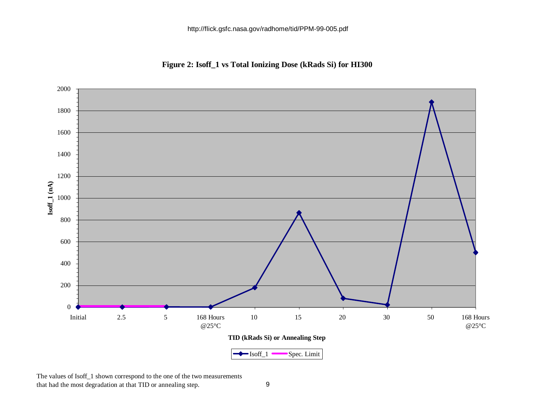**Figure 2: Isoff\_1 vs Total Ionizing Dose (kRads Si) for HI300**



The values of Isoff\_1 shown correspond to the one of the two measurements that had the most degradation at that TID or annealing step. 9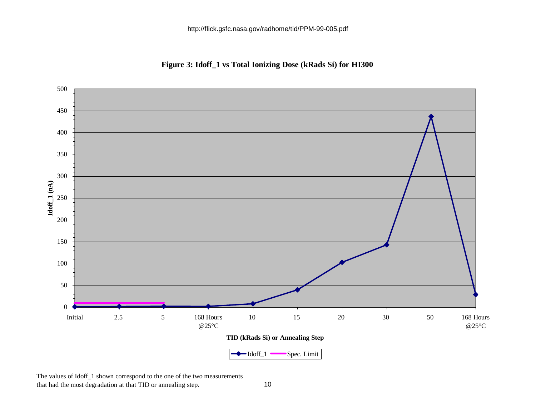**Figure 3: Idoff\_1 vs Total Ionizing Dose (kRads Si) for HI300**



The values of Idoff\_1 shown correspond to the one of the two measurements that had the most degradation at that TID or annealing step. 10